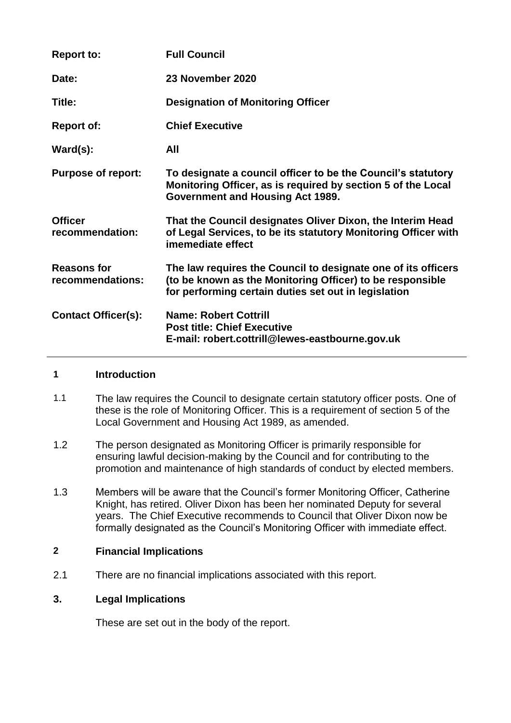| <b>Report to:</b>                      | <b>Full Council</b>                                                                                                                                                                |
|----------------------------------------|------------------------------------------------------------------------------------------------------------------------------------------------------------------------------------|
| Date:                                  | 23 November 2020                                                                                                                                                                   |
| Title:                                 | <b>Designation of Monitoring Officer</b>                                                                                                                                           |
| <b>Report of:</b>                      | <b>Chief Executive</b>                                                                                                                                                             |
| $\textsf{Ward}(s)$ :                   | All                                                                                                                                                                                |
| <b>Purpose of report:</b>              | To designate a council officer to be the Council's statutory<br>Monitoring Officer, as is required by section 5 of the Local<br>Government and Housing Act 1989.                   |
| <b>Officer</b><br>recommendation:      | That the Council designates Oliver Dixon, the Interim Head<br>of Legal Services, to be its statutory Monitoring Officer with<br>imemediate effect                                  |
| <b>Reasons for</b><br>recommendations: | The law requires the Council to designate one of its officers<br>(to be known as the Monitoring Officer) to be responsible<br>for performing certain duties set out in legislation |
| <b>Contact Officer(s):</b>             | <b>Name: Robert Cottrill</b><br><b>Post title: Chief Executive</b><br>E-mail: robert.cottrill@lewes-eastbourne.gov.uk                                                              |

### **1 Introduction**

- 1.1 The law requires the Council to designate certain statutory officer posts. One of these is the role of Monitoring Officer. This is a requirement of section 5 of the Local Government and Housing Act 1989, as amended.
- 1.2 The person designated as Monitoring Officer is primarily responsible for ensuring lawful decision-making by the Council and for contributing to the promotion and maintenance of high standards of conduct by elected members.
- 1.3 Members will be aware that the Council's former Monitoring Officer, Catherine Knight, has retired. Oliver Dixon has been her nominated Deputy for several years. The Chief Executive recommends to Council that Oliver Dixon now be formally designated as the Council's Monitoring Officer with immediate effect.

### **2 Financial Implications**

2.1 There are no financial implications associated with this report.

### **3. Legal Implications**

These are set out in the body of the report.